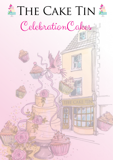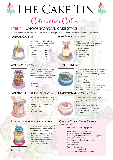**THE CAKE TIN** 

CelebrationCakes

## **Step 1 - Choosing your cake Style**

All cake prices are based on a 6" version of the design. All cakes can be made in a larger or smaller size.

#### **ANIMAL CAKE £70**



Round 4 layered cake finished in sugar paste, designed to look like your favourite animal! Choose from:

- 
- Unicorn Horse<br>• Cat Dog
	-
- $\bullet$  Reindeer

#### • Dog<br>• Fox • Rabbit • Fox

#### **OVERLOAD CAKE £65**



4 layers of moist sponge, covered in buttercream and finished with a chocolate drip, a personalised card topper and as a many sweets or chocolates as we can fit on! Choose from:

- Sweeties
- Chocolates

#### **GORGEOUS ROSE GOLD CAKE**  $666$



A fabulous 4 layered Rose Gold buttercream cake decorated with a cake balloon, a personalised cardboard topper, macarons and your choice of:

- Fresh Roses
- Artificial Roses

#### **BUTTERCREAM SPRINKLES CAKE £55**



4 layers of moist sponge finished with buttercream swirls, sprinkles and a personlised topper!

- All out sprinkles (top & side)
- 
- Just the top of the cake
- Switch sprinkles for chocolate curls (top of cake)
- No sprinkles for me thanks

#### **SEMI NAKED CAKE** £65



A gorgeous sponge cake with 4 semi visible layers finished in buttercream. Personalise your cake with:

MALMESBURY

- Artificial Flowers
- Fresh Flowers
- Iced Roses
- Chocolate Drip
- Macarons

#### PHOTOCAKE **£40**



2 layers of gorgeous moist sponge filled with buttercream and finished with a coating of buttercream or sugar paste

- For your image choose from
- Our catalogue of fabulous images • Your own photo

Your image will fill the top of your cake and be completed with an edge of sprinkles to match your design

### **TRADITIONAL ICED CAKE**  $550$

The case of the cake with 2 layers<br>A beautiful iced cake with 2 layers of gorgeous sponge, coated with buttercream and finished in sugar paste

Personalise with a choice of:

- Fresh Flowers Iced Roses<br>• Artificial Roses Writing
- Artificial Roses Writing<br>• Colours Ribbons  $\bullet$  Colours
- -
- 

#### **Create Your Own Design**

2 layer cake from £40

Choose from the following options:

- Buttercream or sugar paste finish
- Wide range of colours available
- Wide range of ribbon widths, colours & prints
- Adding a printed image
- Add flowers fresh, artificial or iced
- Add chocolates
- Add macarons
- Add a resin figurine
- Add a moulded edible decoration
- Add a personalised laser-cut topper

Summer 2021

- Just the side of the cake
- 
-